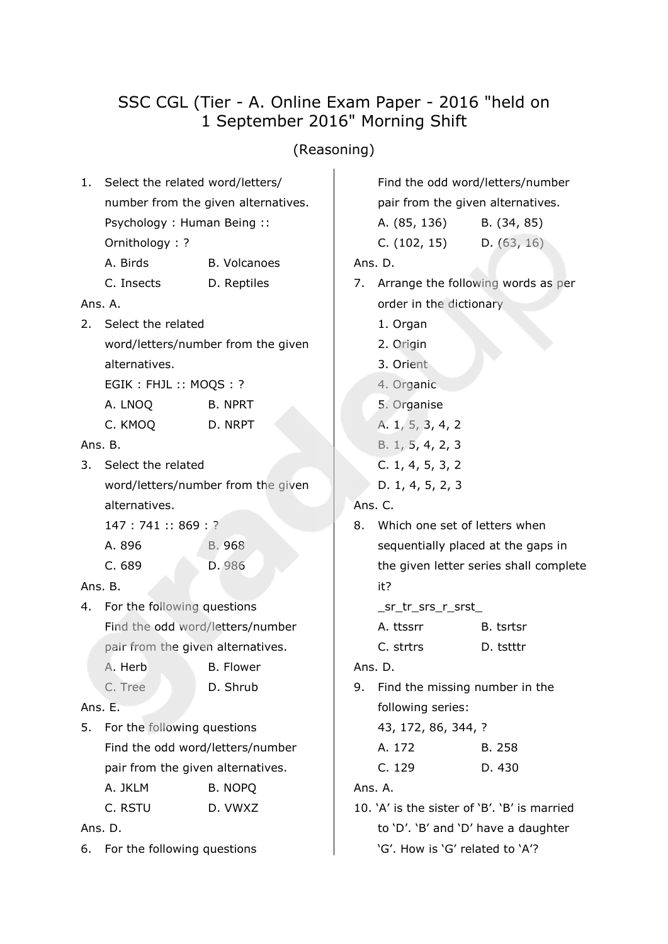# SSC CGL (Tier - A. Online Exam Paper - 2016 "held on 1 September 2016" Morning Shift

# (Reasoning)

|         | 1. Select the related word/letters/<br>number from the given alternatives. |                                    |  |  |  |  |
|---------|----------------------------------------------------------------------------|------------------------------------|--|--|--|--|
|         | Psychology: Human Being:                                                   |                                    |  |  |  |  |
|         | Ornithology: ?                                                             |                                    |  |  |  |  |
|         | A. Birds                                                                   | <b>B. Volcanoes</b>                |  |  |  |  |
|         | C. Insects                                                                 | D. Reptiles                        |  |  |  |  |
| Ans. A. |                                                                            |                                    |  |  |  |  |
|         | 2. Select the related                                                      |                                    |  |  |  |  |
|         |                                                                            | word/letters/number from the given |  |  |  |  |
|         | alternatives.                                                              |                                    |  |  |  |  |
|         | EGIK: FHJL: MOQS: ?                                                        |                                    |  |  |  |  |
|         | A. LNOQ                                                                    | <b>B. NPRT</b>                     |  |  |  |  |
|         | C. KMOQ                                                                    | D. NRPT                            |  |  |  |  |
| Ans. B. |                                                                            |                                    |  |  |  |  |
|         | 3. Select the related                                                      |                                    |  |  |  |  |
|         |                                                                            | word/letters/number from the given |  |  |  |  |
|         | alternatives.                                                              |                                    |  |  |  |  |
|         | 147:741::869:?                                                             |                                    |  |  |  |  |
|         | A. 896                                                                     | B. 968                             |  |  |  |  |
|         | C. 689                                                                     | D. 986                             |  |  |  |  |
| Ans. B. |                                                                            |                                    |  |  |  |  |
|         | 4. For the following questions                                             |                                    |  |  |  |  |
|         | Find the odd word/letters/number                                           |                                    |  |  |  |  |
|         | pair from the given alternatives.                                          |                                    |  |  |  |  |
|         | A. Herb B. Flower                                                          |                                    |  |  |  |  |
|         | C. Tree                                                                    | D. Shrub                           |  |  |  |  |
| Ans. E. |                                                                            |                                    |  |  |  |  |
| 5.      | For the following questions                                                |                                    |  |  |  |  |
|         | Find the odd word/letters/number                                           |                                    |  |  |  |  |
|         | pair from the given alternatives.                                          |                                    |  |  |  |  |
|         | A. JKLM                                                                    | <b>B. NOPQ</b>                     |  |  |  |  |
|         | C. RSTU                                                                    | D. VWXZ                            |  |  |  |  |
|         | Ans. D.                                                                    |                                    |  |  |  |  |

6. For the following questions

Find the odd word/letters/number pair from the given alternatives.

| A. (85, 136) | B. (34, 85) |
|--------------|-------------|
| C. (102, 15) | D. (63, 16) |

Ans. D.

- 7. Arrange the following words as per order in the dictionary
	- 1. Organ
	- 2. Origin
	- 3. Orient
	- 4. Organic
	- 5. Organise
	- A. 1, 5, 3, 4, 2
	- B. 1, 5, 4, 2, 3
	- C. 1, 4, 5, 3, 2
	- D. 1, 4, 5, 2, 3

# Ans. C.

8. Which one set of letters when sequentially placed at the gaps in the given letter series shall complete it?

\_sr\_tr\_srs\_r\_srst\_

A. ttssrr B. tsrtsr C. strtrs D. tstttr

# Ans. D.

- 9. Find the missing number in the following series:
	- 43, 172, 86, 344, ? A. 172 B. 258 C. 129 D. 430

Ans. A.

10. 'A' is the sister of 'B'. 'B' is married to 'D'. 'B' and 'D' have a daughter 'G'. How is 'G' related to 'A'?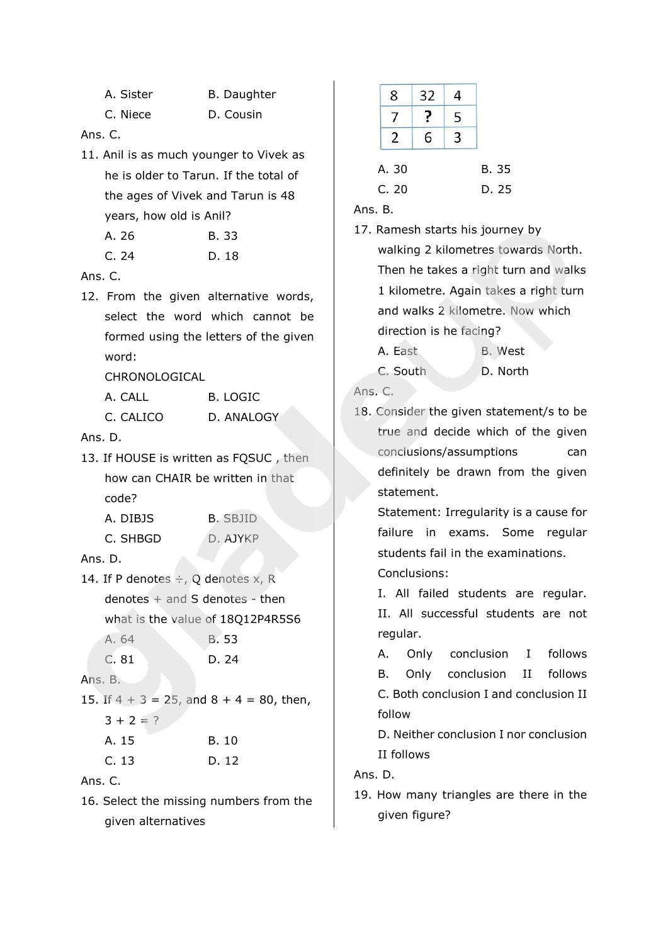C. Niece D. Cousin

### Ans. C.

11. Anil is as much younger to Vivek as he is older to Tarun. If the total of the ages of Vivek and Tarun is 48 years, how old is Anil?

| A. 26 | B. 33 |
|-------|-------|
| C.24  | D. 18 |

Ans. C.

12. From the given alternative words, select the word which cannot be formed using the letters of the given word:

CHRONOLOGICAL

| A. CALL   | B. LOGIC   |
|-----------|------------|
| C. CALICO | D. ANALOGY |

Ans. D.

13. If HOUSE is written as FQSUC , then how can CHAIR be written in that code?

| A. DIBJS | <b>B. SBJID</b> |
|----------|-----------------|
| C. SHBGD | D. AJYKP        |

Ans. D.

14. If P denotes  $\div$ , Q denotes x, R denotes + and S denotes - then what is the value of 18Q12P4R5S6 A. 64 B. 53

| D. 24 |
|-------|
|       |

Ans. B.

15. If  $4 + 3 = 25$ , and  $8 + 4 = 80$ , then,  $3 + 2 = ?$ 

| A. 15 | B. 10 |
|-------|-------|
| C.13  | D. 12 |

Ans. C.

16. Select the missing numbers from the given alternatives

| 8     | 32 | 4 |              |
|-------|----|---|--------------|
|       |    | 5 |              |
|       | 6  | ξ |              |
| A. 30 |    |   | <b>B.</b> 35 |
| C. 20 |    |   | D. 25        |

Ans. B.

17. Ramesh starts his journey by walking 2 kilometres towards North. Then he takes a right turn and walks 1 kilometre. Again takes a right turn and walks 2 kilometre. Now which direction is he facing?

A. East B. West C. South D. North

Ans. C.

18. Consider the given statement/s to be true and decide which of the given conclusions/assumptions can definitely be drawn from the given statement.

Statement: Irregularity is a cause for failure in exams. Some regular students fail in the examinations.

Conclusions:

I. All failed students are regular. II. All successful students are not regular.

A. Only conclusion I follows B. Only conclusion II follows C. Both conclusion I and conclusion II follow

D. Neither conclusion I nor conclusion II follows

Ans. D.

19. How many triangles are there in the given figure?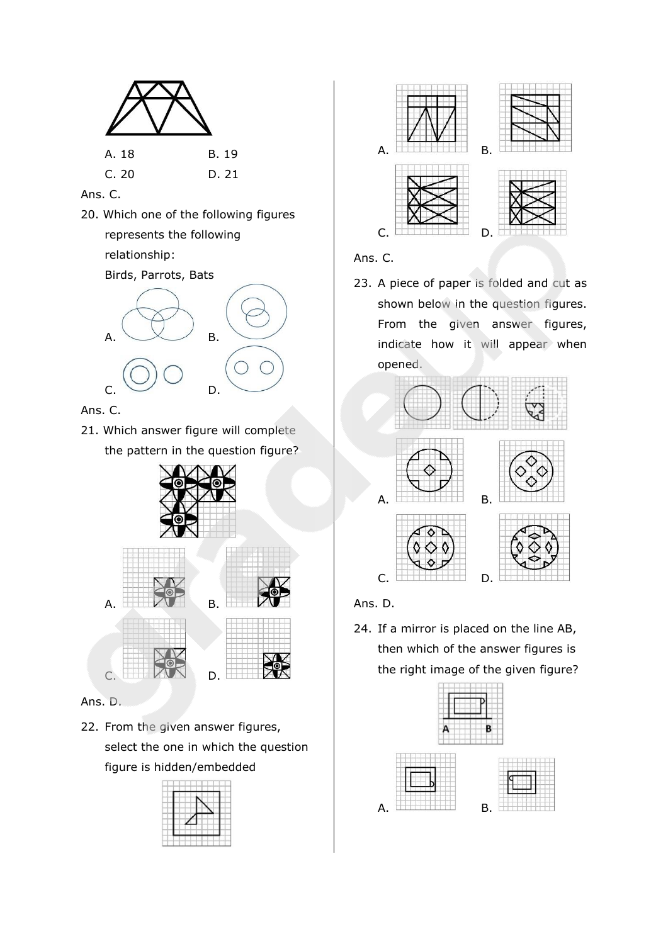

### Ans. C.

20. Which one of the following figures represents the following relationship:

Birds, Parrots, Bats



Ans. C.

21. Which answer figure will complete the pattern in the question figure?





Ans. D.

22. From the given answer figures, select the one in which the question figure is hidden/embedded





Ans. C.

23. A piece of paper is folded and cut as shown below in the question figures. From the given answer figures, indicate how it will appear when opened.



Ans. D.

24. If a mirror is placed on the line AB, then which of the answer figures is the right image of the given figure?

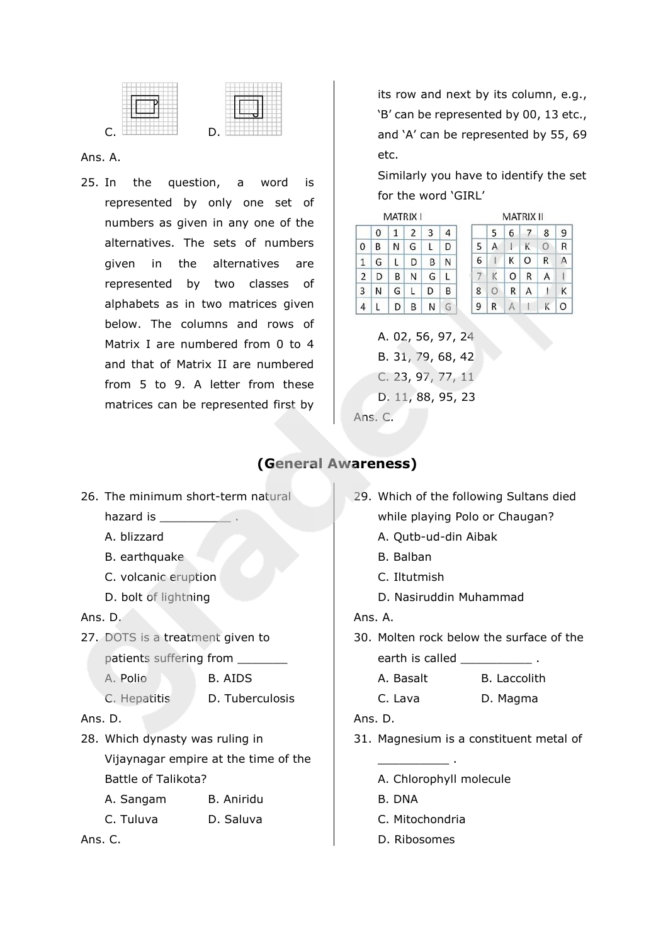

#### Ans. A.

25. In the question, a word is represented by only one set of numbers as given in any one of the alternatives. The sets of numbers given in the alternatives are represented by two classes of alphabets as in two matrices given below. The columns and rows of Matrix I are numbered from 0 to 4 and that of Matrix II are numbered from 5 to 9. A letter from these matrices can be represented first by

its row and next by its column, e.g., 'B' can be represented by 00, 13 etc., and 'A' can be represented by 55, 69 etc.

Similarly you have to identify the set for the word 'GIRL'

| MATRIX I |   |   |   |   |   |   |   | <b>MATRIX II</b> |          |   |         |
|----------|---|---|---|---|---|---|---|------------------|----------|---|---------|
|          | 0 | 1 | 2 | 3 | 4 |   | 5 | 6                | $\prime$ | 8 | 9       |
| 0        | В | N | G |   | D | 5 | А |                  | Κ        |   | R       |
| 1        | G |   | D | B | Ν | 6 |   | к                | O        | R |         |
| 2        | D | B | N | G |   |   |   | O                | R        | А |         |
| 3        | N | G |   | D | В | 8 | Ω | R                | Α        |   | к       |
| л        |   |   | B | N | G | g | R |                  |          |   | $\circ$ |

A. 02, 56, 97, 24 B. 31, 79, 68, 42 C. 23, 97, 77, 11 D. 11, 88, 95, 23 Ans. C.

### **(General Awareness)**

- 26. The minimum short-term natural hazard is A. blizzard B. earthquake C. volcanic eruption D. bolt of lightning Ans. D. 27. DOTS is a treatment given to patients suffering from A. Polio B. AIDS C. Hepatitis D. Tuberculosis Ans. D. 28. Which dynasty was ruling in Vijaynagar empire at the time of the Battle of Talikota? A. Sangam B. Aniridu C. Tuluva D. Saluva Ans. C.
- 29. Which of the following Sultans died while playing Polo or Chaugan?
	- A. Qutb-ud-din Aibak
	- B. Balban
	- C. Iltutmish
	- D. Nasiruddin Muhammad

Ans. A.

30. Molten rock below the surface of the earth is called **that is called**  $\cdot$ 

A. Basalt B. Laccolith

C. Lava D. Magma

Ans. D.

- 31. Magnesium is a constituent metal of
	- A. Chlorophyll molecule
	- B. DNA
	- C. Mitochondria

\_\_\_\_\_\_\_\_\_\_ .

D. Ribosomes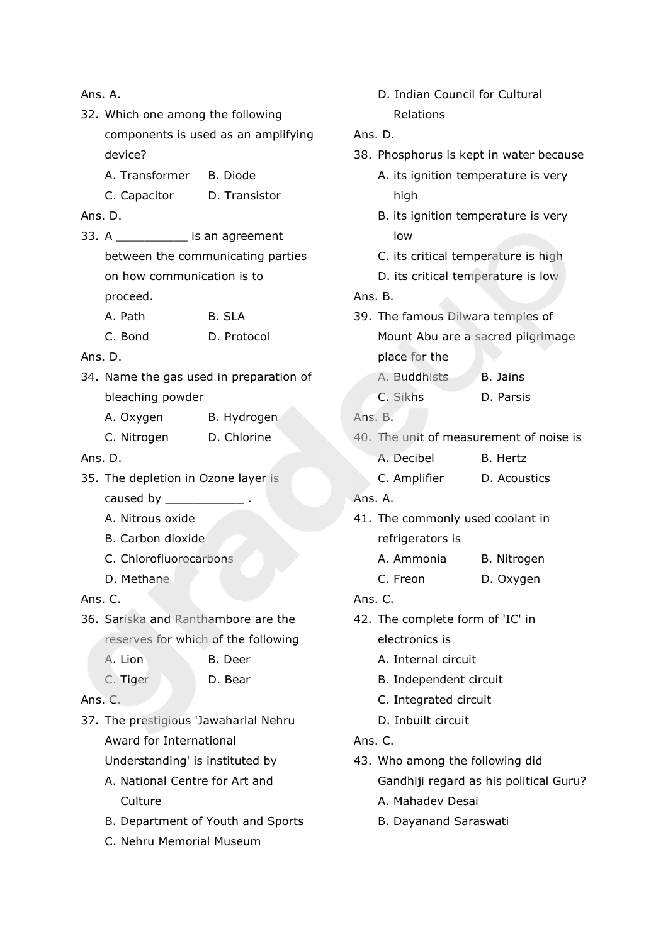| Ans. A.                           |                                       |                                         |     |  |
|-----------------------------------|---------------------------------------|-----------------------------------------|-----|--|
| 32. Which one among the following |                                       |                                         |     |  |
|                                   | components is used as an amplifying   |                                         |     |  |
|                                   | device?                               |                                         | 38. |  |
|                                   | A. Transformer B. Diode               |                                         |     |  |
|                                   | C. Capacitor D. Transistor            |                                         |     |  |
|                                   | Ans. D.                               |                                         |     |  |
|                                   | 33. A ____________ is an agreement    |                                         |     |  |
|                                   |                                       | between the communicating parties       |     |  |
|                                   | on how communication is to            |                                         |     |  |
|                                   | proceed.                              |                                         | Ans |  |
|                                   | A. Path                               | B. SLA                                  | 39. |  |
|                                   | C. Bond                               | D. Protocol                             |     |  |
|                                   | Ans. D.                               |                                         |     |  |
|                                   |                                       | 34. Name the gas used in preparation of |     |  |
|                                   | bleaching powder                      |                                         |     |  |
|                                   | A. Oxygen B. Hydrogen                 |                                         | Ans |  |
|                                   | C. Nitrogen D. Chlorine               |                                         | 40. |  |
|                                   | Ans. D.                               |                                         |     |  |
|                                   | 35. The depletion in Ozone layer is   |                                         |     |  |
|                                   | caused by $\frac{1}{2}$ .             |                                         | Ans |  |
|                                   | A. Nitrous oxide                      |                                         | 41. |  |
|                                   | B. Carbon dioxide                     |                                         |     |  |
|                                   | C. Chlorofluorocarbons                |                                         |     |  |
|                                   | D. Methane                            |                                         |     |  |
|                                   | Ans. C.                               |                                         | Ans |  |
|                                   | 36. Sariska and Ranthambore are the   |                                         | 42. |  |
|                                   |                                       | reserves for which of the following     |     |  |
|                                   | A. Lion                               | B. Deer                                 |     |  |
|                                   | C. Tiger                              | D. Bear                                 |     |  |
|                                   | Ans. C.                               |                                         |     |  |
|                                   | 37. The prestigious 'Jawaharlal Nehru |                                         |     |  |
|                                   | Award for International               |                                         | Ans |  |
|                                   | Understanding' is instituted by       |                                         | 43. |  |
|                                   | A. National Centre for Art and        |                                         |     |  |
|                                   | Culture                               |                                         |     |  |
|                                   |                                       | B. Department of Youth and Sports       |     |  |
|                                   | C. Nehru Memorial Museum              |                                         |     |  |

|         | D. Indian Council for Cultural   |                                         |  |  |  |  |  |  |
|---------|----------------------------------|-----------------------------------------|--|--|--|--|--|--|
|         | Relations                        |                                         |  |  |  |  |  |  |
| Ans. D. |                                  |                                         |  |  |  |  |  |  |
|         |                                  | 38. Phosphorus is kept in water because |  |  |  |  |  |  |
|         |                                  | A. its ignition temperature is very     |  |  |  |  |  |  |
|         | high                             |                                         |  |  |  |  |  |  |
|         |                                  | B. its ignition temperature is very     |  |  |  |  |  |  |
|         | low                              |                                         |  |  |  |  |  |  |
|         |                                  | C. its critical temperature is high     |  |  |  |  |  |  |
|         |                                  | D. its critical temperature is low      |  |  |  |  |  |  |
| Ans. B. |                                  |                                         |  |  |  |  |  |  |
|         |                                  | 39. The famous Dilwara temples of       |  |  |  |  |  |  |
|         |                                  | Mount Abu are a sacred pilgrimage       |  |  |  |  |  |  |
|         | place for the                    |                                         |  |  |  |  |  |  |
|         | A. Buddhists                     | <b>B.</b> Jains                         |  |  |  |  |  |  |
|         | C. Sikhs                         | D. Parsis                               |  |  |  |  |  |  |
| Ans. B. |                                  |                                         |  |  |  |  |  |  |
|         |                                  | 40. The unit of measurement of noise is |  |  |  |  |  |  |
|         | A. Decibel                       | B. Hertz                                |  |  |  |  |  |  |
|         | C. Amplifier                     | D. Acoustics                            |  |  |  |  |  |  |
| Ans. A. |                                  |                                         |  |  |  |  |  |  |
|         | 41. The commonly used coolant in |                                         |  |  |  |  |  |  |
|         | refrigerators is                 |                                         |  |  |  |  |  |  |
|         | A. Ammonia                       | B. Nitrogen                             |  |  |  |  |  |  |
|         | C. Freon                         | D. Oxygen                               |  |  |  |  |  |  |
| Ans. C. |                                  |                                         |  |  |  |  |  |  |
|         | 42. The complete form of 'IC' in |                                         |  |  |  |  |  |  |
|         | electronics is                   |                                         |  |  |  |  |  |  |
|         | A. Internal circuit              |                                         |  |  |  |  |  |  |
|         | B. Independent circuit           |                                         |  |  |  |  |  |  |
|         | C. Integrated circuit            |                                         |  |  |  |  |  |  |
|         | D. Inbuilt circuit               |                                         |  |  |  |  |  |  |
| Ans. C. |                                  |                                         |  |  |  |  |  |  |
|         | 43. Who among the following did  |                                         |  |  |  |  |  |  |
|         |                                  | Gandhiji regard as his political Guru?  |  |  |  |  |  |  |
|         | A. Mahadev Desai                 |                                         |  |  |  |  |  |  |
|         | B. Dayanand Saraswati            |                                         |  |  |  |  |  |  |
|         |                                  |                                         |  |  |  |  |  |  |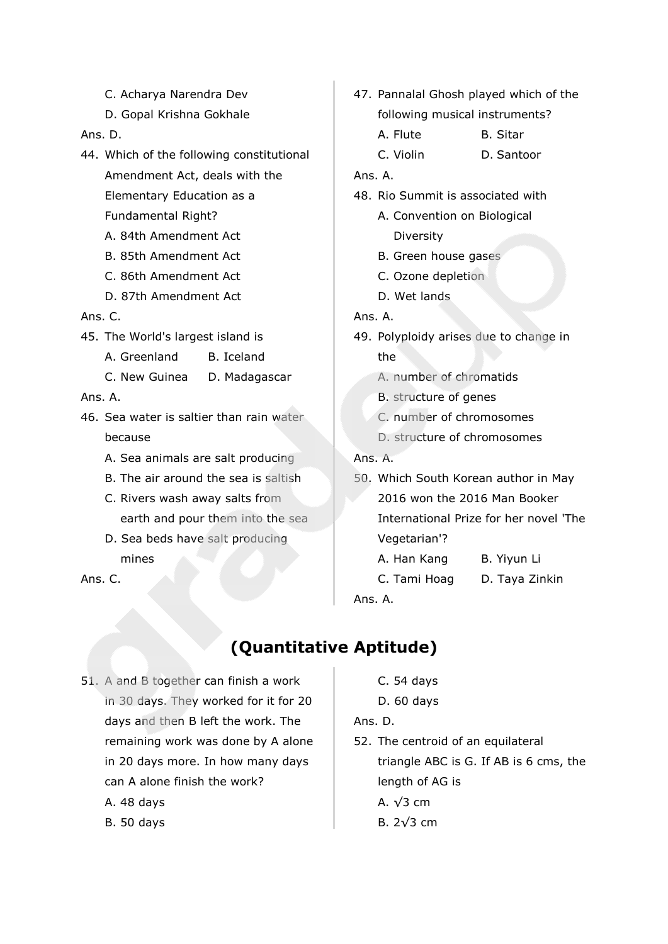- C. Acharya Narendra Dev
- D. Gopal Krishna Gokhale

Ans. D.

- 44. Which of the following constitutional Amendment Act, deals with the Elementary Education as a Fundamental Right?
	- A. 84th Amendment Act
	- B. 85th Amendment Act
	- C. 86th Amendment Act
	- D. 87th Amendment Act

#### Ans. C.

- 45. The World's largest island is
	- A. Greenland B. Iceland
	- C. New Guinea D. Madagascar

### Ans. A.

- 46. Sea water is saltier than rain water because
	- A. Sea animals are salt producing
	- B. The air around the sea is saltish
	- C. Rivers wash away salts from earth and pour them into the sea
	- D. Sea beds have salt producing mines

Ans. C.

- 47. Pannalal Ghosh played which of the following musical instruments?
	- A. Flute B. Sitar
	- C. Violin D. Santoor

### Ans. A.

- 48. Rio Summit is associated with
	- A. Convention on Biological Diversity
	- B. Green house gases
	- C. Ozone depletion
	- D. Wet lands

### Ans. A.

- 49. Polyploidy arises due to change in the
	- A. number of chromatids
	- B. structure of genes
	- C. number of chromosomes
	- D. structure of chromosomes

## Ans. A.

- 50. Which South Korean author in May 2016 won the 2016 Man Booker International Prize for her novel 'The Vegetarian'?
	- A. Han Kang B. Yiyun Li
	- C. Tami Hoag D. Taya Zinkin

Ans. A.

# **(Quantitative Aptitude)**

- 51. A and B together can finish a work in 30 days. They worked for it for 20 days and then B left the work. The remaining work was done by A alone in 20 days more. In how many days can A alone finish the work?
	- A. 48 days
	- B. 50 days
- C. 54 days
- D. 60 days

### Ans. D.

52. The centroid of an equilateral triangle ABC is G. If AB is 6 cms, the length of AG is A. √3 cm B. 2√3 cm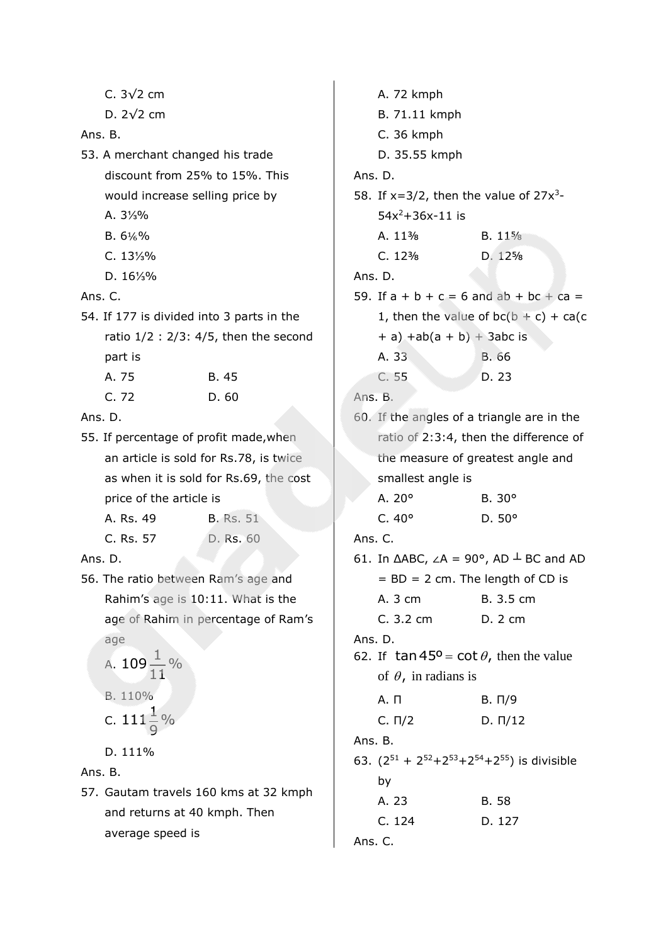| C. 3√2 cm |  |
|-----------|--|
|           |  |

D. 2√2 cm

### Ans. B.

- 53. A merchant changed his trade discount from 25% to 15%. This would increase selling price by
	- A. 3⅓%
	- B.  $6\frac{1}{6}\%$
	- C. 13⅓%
	- D. 16⅓%

Ans. C.

- 54. If 177 is divided into 3 parts in the ratio 1/2 : 2/3: 4/5, then the second part is A. 75 B. 45
	- C. 72 D. 60
- Ans. D.
- 55. If percentage of profit made,when an article is sold for Rs.78, is twice as when it is sold for Rs.69, the cost price of the article is

| A. Rs. 49 | <b>B.</b> Rs. 51 |
|-----------|------------------|
| C. Rs. 57 | D. Rs. 60        |

## Ans. D.

56. The ratio between Ram's age and Rahim's age is 10:11. What is the age of Rahim in percentage of Ram's age

A. 
$$
109\frac{1}{11}\%
$$
  
B.  $110\%$   
C.  $111\frac{1}{9}\%$ 

D. 111%

Ans. B.

57. Gautam travels 160 kms at 32 kmph and returns at 40 kmph. Then average speed is

A. 72 kmph B. 71.11 kmph C. 36 kmph D. 35.55 kmph Ans. D. 58. If  $x=3/2$ , then the value of  $27x^3$ - $54x^2 + 36x - 11$  is A. 11<sup>3</sup>/<sub>8</sub> B. 11<sup>5</sup>/<sub>8</sub> C. 12⅜ D. 12⅝ Ans. D. 59. If  $a + b + c = 6$  and  $ab + bc + ca =$ 1, then the value of  $bc(b + c) + ca(c)$  $+ a$ ) +ab(a + b) + 3abc is A. 33 B. 66 C. 55 D. 23 Ans. B. 60. If the angles of a triangle are in the ratio of 2:3:4, then the difference of the measure of greatest angle and smallest angle is A. 20° B. 30° C. 40° D. 50° Ans. C. 61. In  $\triangle ABC$ ,  $\angle A = 90^\circ$ , AD  $\perp$  BC and AD  $=$  BD  $=$  2 cm. The length of CD is A. 3 cm B. 3.5 cm C. 3.2 cm D. 2 cm Ans. D. 62. If  $\tan 45^{\circ} = \cot \theta$ , then the value of  $\theta$ , in radians is A. Π Β. Π/9 C. Π/2 D. Π/12 Ans. B. 63.  $(2^{51} + 2^{52} + 2^{53} + 2^{54} + 2^{55})$  is divisible by A. 23 B. 58 C. 124 D. 127 Ans. C.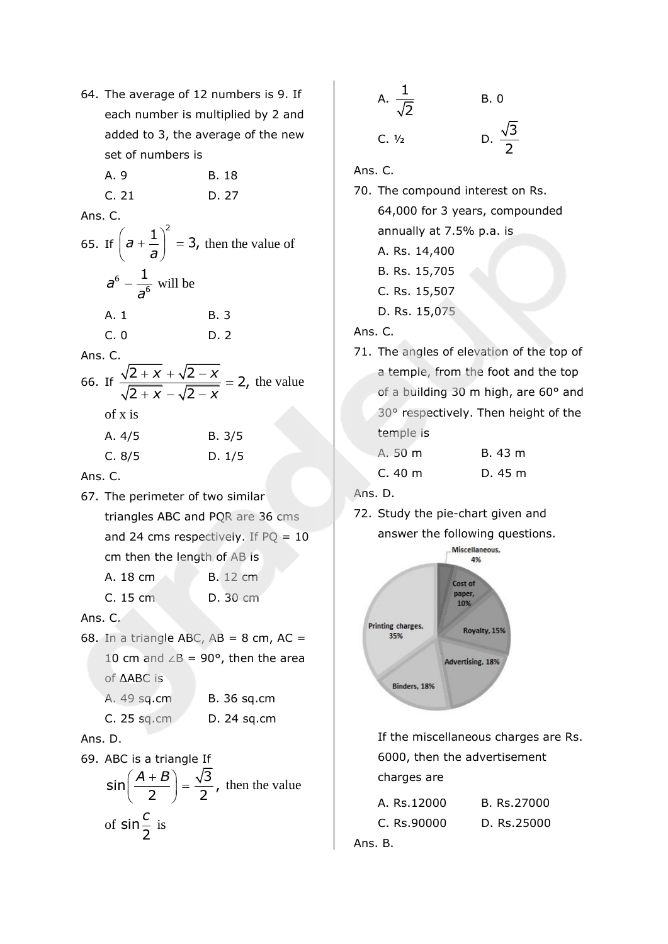64. The average of 12 numbers is 9. If each number is multiplied by 2 and added to 3, the average of the new set of numbers is A. 9 B. 18 C. 21 D. 27 Ans. C. 65. If  $a + \frac{1}{a} \bigg|^{2} = 3,$ *a*  $\left(a + \frac{1}{a}\right)^2 = 3$ , then the value of 6 6  $a^6-\frac{1}{a}$ *a*  $-\frac{1}{6}$  will be A. 1 B. 3 C. 0 D. 2 Ans. C. 66. If  $\frac{\sqrt{2 + x} + \sqrt{2 - x}}{\sqrt{2 + x}} = 2,$  $\overline{2 + x} - \sqrt{2}$  $\frac{x}{x} + \sqrt{2-x}$  $\overline{x}$  -  $\sqrt{2-x}$  $\frac{x}{\sqrt{1+x} + \sqrt{2-x}} = 2$ , the value of x is A. 4/5 B. 3/5 C. 8/5 D. 1/5 Ans. C. 67. The perimeter of two similar triangles ABC and PQR are 36 cms and 24 cms respectively. If  $PQ = 10$ cm then the length of AB is A. 18 cm B. 12 cm C. 15 cm D. 30 cm Ans. C. 68. In a triangle ABC,  $AB = 8$  cm,  $AC =$ 10 cm and  $∠B = 90^\circ$ , then the area of ΔABC is A. 49 sq.cm B. 36 sq.cm C. 25 sq.cm D. 24 sq.cm Ans. D. 69. ABC is a triangle If

$$
\sin\left(\frac{A+B}{2}\right) = \frac{\sqrt{3}}{2}
$$
, then the value  
of  $\sin\frac{c}{2}$  is

A. 
$$
\frac{1}{\sqrt{2}}
$$
 B. 0  
C.  $\frac{1}{2}$  D.  $\frac{\sqrt{3}}{2}$ 

Ans. C.

- 70. The compound interest on Rs. 64,000 for 3 years, compounded annually at 7.5% p.a. is A. Rs. 14,400 B. Rs. 15,705 C. Rs. 15,507 D. Rs. 15,075 Ans. C.
- 71. The angles of elevation of the top of a temple, from the foot and the top of a building 30 m high, are 60° and 30° respectively. Then height of the temple is

| A. 50 m | B. 43 m |
|---------|---------|
| C.40 m  | D. 45 m |

Ans. D.

72. Study the pie-chart given and answer the following questions.



If the miscellaneous charges are Rs. 6000, then the advertisement charges are

| A. Rs.12000 | B. Rs.27000 |
|-------------|-------------|
| C. Rs.90000 | D. Rs.25000 |
| Ans. B.     |             |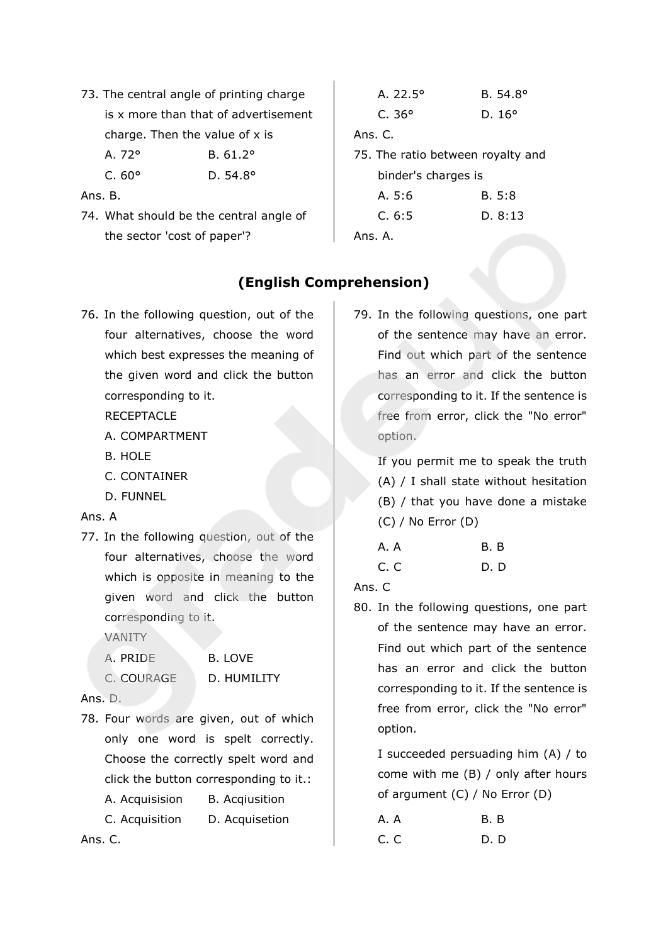73. The central angle of printing charge is x more than that of advertisement charge. Then the value of x is

A. 72° B. 61.2°

C. 60° D. 54.8°

Ans. B.

74. What should be the central angle of the sector 'cost of paper'?

# A. 22.5° B. 54.8° C. 36° D. 16° Ans. C. 75. The ratio between royalty and binder's charges is A. 5:6 B. 5:8 C. 6:5 D. 8:13 Ans. A.

# **(English Comprehension)**

76. In the following question, out of the four alternatives, choose the word which best expresses the meaning of the given word and click the button corresponding to it.

**RECEPTACLE** 

- A. COMPARTMENT
- B. HOLE
- C. CONTAINER
- D. FUNNEL

## Ans. A

77. In the following question, out of the four alternatives, choose the word which is opposite in meaning to the given word and click the button corresponding to it.

VANITY

| A. PRIDE   | B. LOVE     |
|------------|-------------|
| C. COURAGE | D. HUMILITY |

Ans. D.

78. Four words are given, out of which only one word is spelt correctly. Choose the correctly spelt word and click the button corresponding to it.:

A. Acquisision B. Acqiusition

C. Acquisition D. Acquisetion

Ans. C.

79. In the following questions, one part of the sentence may have an error. Find out which part of the sentence has an error and click the button corresponding to it. If the sentence is free from error, click the "No error" option.

If you permit me to speak the truth (A) / I shall state without hesitation (B) / that you have done a mistake (C) / No Error (D)

| A. A | <b>B.</b> B |
|------|-------------|
| C.C  | D. D        |

Ans. C

80. In the following questions, one part of the sentence may have an error. Find out which part of the sentence has an error and click the button corresponding to it. If the sentence is free from error, click the "No error" option.

I succeeded persuading him (A) / to come with me (B) / only after hours of argument (C) / No Error (D)

| A. A | B. B |
|------|------|
| C.C  | D. D |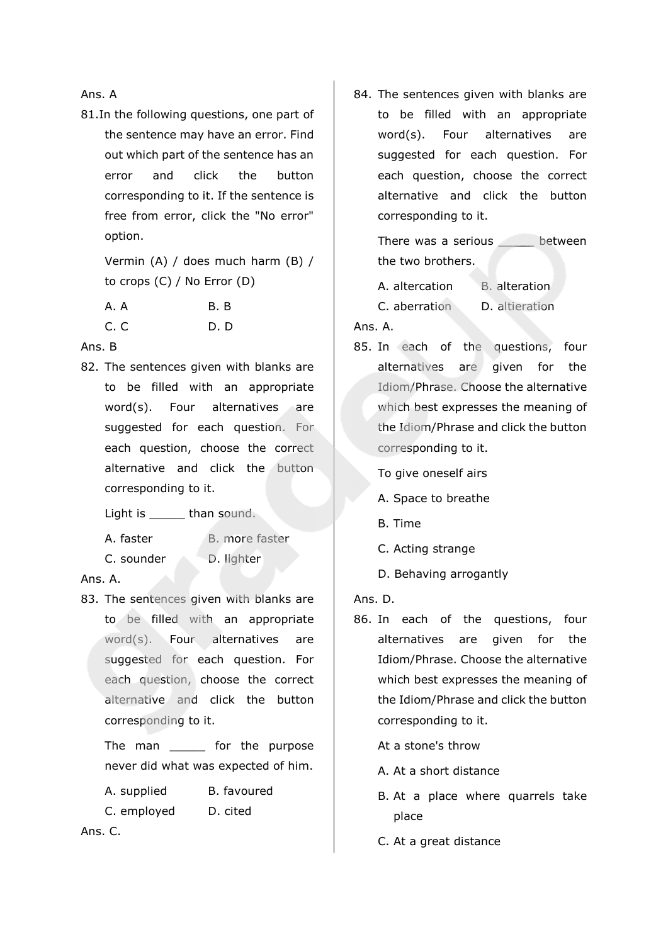Ans. A

81.In the following questions, one part of the sentence may have an error. Find out which part of the sentence has an error and click the button corresponding to it. If the sentence is free from error, click the "No error" option.

> Vermin (A) / does much harm (B) / to crops (C) / No Error (D)

| A. A | B. B |
|------|------|
| C.C  | D. D |

Ans. B

82. The sentences given with blanks are to be filled with an appropriate word(s). Four alternatives are suggested for each question. For each question, choose the correct alternative and click the button corresponding to it.

Light is \_\_\_\_\_ than sound.

A. faster B. more faster

C. sounder D. lighter

Ans. A.

83. The sentences given with blanks are to be filled with an appropriate word(s). Four alternatives are suggested for each question. For each question, choose the correct alternative and click the button corresponding to it.

The man \_\_\_\_\_\_ for the purpose never did what was expected of him.

- A. supplied B. favoured
- C. employed D. cited

Ans. C.

84. The sentences given with blanks are to be filled with an appropriate word(s). Four alternatives are suggested for each question. For each question, choose the correct alternative and click the button corresponding to it.

There was a serious between the two brothers.

A. altercation B. alteration

C. aberration D. altieration

Ans. A.

85. In each of the questions, four alternatives are given for the Idiom/Phrase. Choose the alternative which best expresses the meaning of the Idiom/Phrase and click the button corresponding to it.

To give oneself airs

- A. Space to breathe
- B. Time
- C. Acting strange
- D. Behaving arrogantly

Ans. D.

86. In each of the questions, four alternatives are given for the Idiom/Phrase. Choose the alternative which best expresses the meaning of the Idiom/Phrase and click the button corresponding to it.

At a stone's throw

- A. At a short distance
- B. At a place where quarrels take place
- C. At a great distance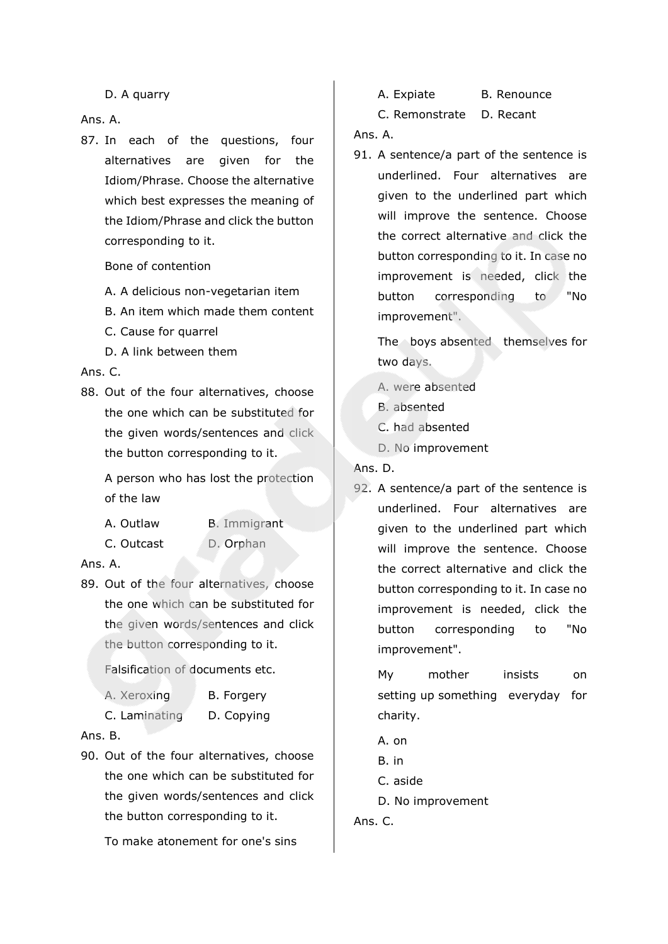D. A quarry

Ans. A.

87. In each of the questions, four alternatives are given for the Idiom/Phrase. Choose the alternative which best expresses the meaning of the Idiom/Phrase and click the button corresponding to it.

Bone of contention

- A. A delicious non-vegetarian item
- B. An item which made them content
- C. Cause for quarrel
- D. A link between them

Ans. C.

88. Out of the four alternatives, choose the one which can be substituted for the given words/sentences and click the button corresponding to it.

> A person who has lost the protection of the law

- A. Outlaw B. Immigrant
- C. Outcast D. Orphan

Ans. A.

89. Out of the four alternatives, choose the one which can be substituted for the given words/sentences and click the button corresponding to it.

Falsification of documents etc.

| A. Xeroxing | B. Forgery |
|-------------|------------|
|-------------|------------|

C. Laminating D. Copying

## Ans. B.

90. Out of the four alternatives, choose the one which can be substituted for the given words/sentences and click the button corresponding to it.

To make atonement for one's sins

A. Expiate B. Renounce

C. Remonstrate D. Recant

Ans. A.

91. A sentence/a part of the sentence is underlined. Four alternatives are given to the underlined part which will improve the sentence. Choose the correct alternative and click the button corresponding to it. In case no improvement is needed, click the button corresponding to "No improvement".

The boys absented themselves for two days.

- A. were absented
- B. absented
- C. had absented
- D. No improvement

Ans. D.

92. A sentence/a part of the sentence is underlined. Four alternatives are given to the underlined part which will improve the sentence. Choose the correct alternative and click the button corresponding to it. In case no improvement is needed, click the button corresponding to "No improvement".

My mother insists on setting up something everyday for charity.

- A. on
- B. in
- C. aside
- D. No improvement

Ans. C.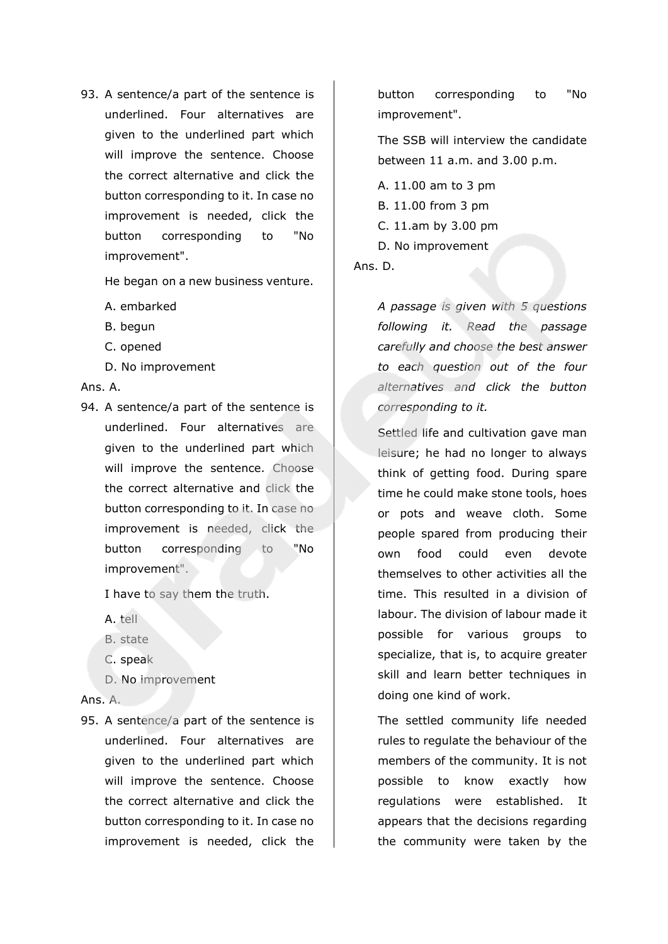93. A sentence/a part of the sentence is underlined. Four alternatives are given to the underlined part which will improve the sentence. Choose the correct alternative and click the button corresponding to it. In case no improvement is needed, click the button corresponding to "No improvement".

He began on a new business venture.

A. embarked

- B. begun
- C. opened
- D. No improvement

### Ans. A.

94. A sentence/a part of the sentence is underlined. Four alternatives are given to the underlined part which will improve the sentence. Choose the correct alternative and click the button corresponding to it. In case no improvement is needed, click the button corresponding to "No improvement".

I have to say them the truth.

- A. tell
- B. state
- C. speak
- D. No improvement

### Ans. A.

95. A sentence/a part of the sentence is underlined. Four alternatives are given to the underlined part which will improve the sentence. Choose the correct alternative and click the button corresponding to it. In case no improvement is needed, click the

button corresponding to "No improvement".

The SSB will interview the candidate between 11 a.m. and 3.00 p.m.

A. 11.00 am to 3 pm B. 11.00 from 3 pm C. 11.am by 3.00 pm D. No improvement

Ans. D.

*A passage is given with 5 questions following it. Read the passage carefully and choose the best answer to each question out of the four alternatives and click the button corresponding to it.*

Settled life and cultivation gave man leisure; he had no longer to always think of getting food. During spare time he could make stone tools, hoes or pots and weave cloth. Some people spared from producing their own food could even devote themselves to other activities all the time. This resulted in a division of labour. The division of labour made it possible for various groups to specialize, that is, to acquire greater skill and learn better techniques in doing one kind of work.

The settled community life needed rules to regulate the behaviour of the members of the community. It is not possible to know exactly how regulations were established. It appears that the decisions regarding the community were taken by the